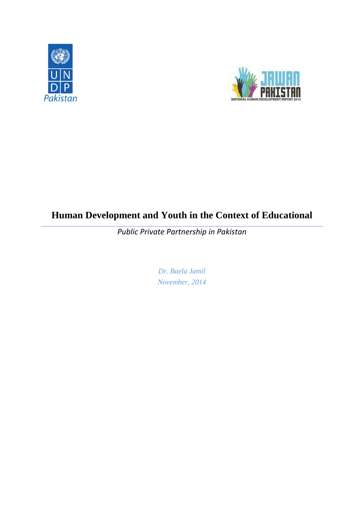



# **Human Development and Youth in the Context of Educational**

*Public Private Partnership in Pakistan*

*Dr. Baela Jamil November, 2014*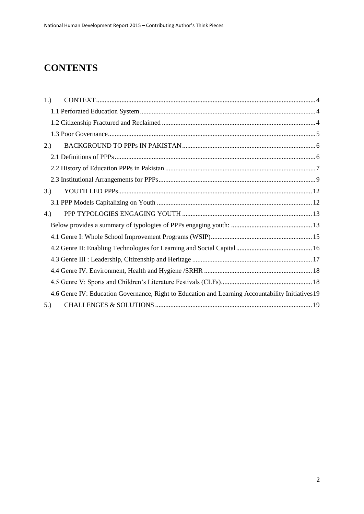# **CONTENTS**

| 1.)                                                                                               |  |  |  |  |
|---------------------------------------------------------------------------------------------------|--|--|--|--|
|                                                                                                   |  |  |  |  |
|                                                                                                   |  |  |  |  |
|                                                                                                   |  |  |  |  |
| 2.)                                                                                               |  |  |  |  |
|                                                                                                   |  |  |  |  |
|                                                                                                   |  |  |  |  |
|                                                                                                   |  |  |  |  |
| 3.)                                                                                               |  |  |  |  |
|                                                                                                   |  |  |  |  |
| 4.)                                                                                               |  |  |  |  |
|                                                                                                   |  |  |  |  |
|                                                                                                   |  |  |  |  |
|                                                                                                   |  |  |  |  |
|                                                                                                   |  |  |  |  |
|                                                                                                   |  |  |  |  |
|                                                                                                   |  |  |  |  |
| 4.6 Genre IV: Education Governance, Right to Education and Learning Accountability Initiatives 19 |  |  |  |  |
| 5.)                                                                                               |  |  |  |  |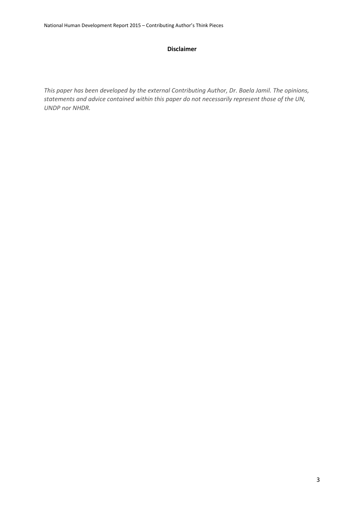#### **Disclaimer**

*This paper has been developed by the external Contributing Author, Dr. Baela Jamil. The opinions, statements and advice contained within this paper do not necessarily represent those of the UN, UNDP nor NHDR.*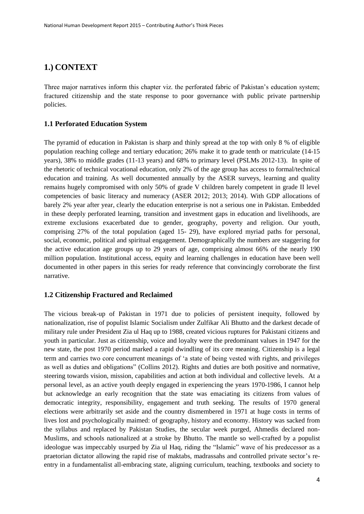### <span id="page-3-0"></span>**1.) CONTEXT**

Three major narratives inform this chapter viz. the perforated fabric of Pakistan's education system; fractured citizenship and the state response to poor governance with public private partnership policies.

### <span id="page-3-1"></span>**1.1 Perforated Education System**

The pyramid of education in Pakistan is sharp and thinly spread at the top with only 8 % of eligible population reaching college and tertiary education; 26% make it to grade tenth or matriculate (14-15 years), 38% to middle grades (11-13 years) and 68% to primary level (PSLMs 2012-13). In spite of the rhetoric of technical vocational education, only 2% of the age group has access to formal/technical education and training. As well documented annually by the ASER surveys, learning and quality remains hugely compromised with only 50% of grade V children barely competent in grade II level competencies of basic literacy and numeracy (ASER 2012; 2013; 2014). With GDP allocations of barely 2% year after year, clearly the education enterprise is not a serious one in Pakistan. Embedded in these deeply perforated learning, transition and investment gaps in education and livelihoods, are extreme exclusions exacerbated due to gender, geography, poverty and religion. Our youth, comprising 27% of the total population (aged 15- 29), have explored myriad paths for personal, social, economic, political and spiritual engagement. Demographically the numbers are staggering for the active education age groups up to 29 years of age, comprising almost 66% of the nearly 190 million population. Institutional access, equity and learning challenges in education have been well documented in other papers in this series for ready reference that convincingly corroborate the first narrative.

### <span id="page-3-2"></span>**1.2 Citizenship Fractured and Reclaimed**

The vicious break-up of Pakistan in 1971 due to policies of persistent inequity, followed by nationalization, rise of populist Islamic Socialism under Zulfikar Ali Bhutto and the darkest decade of military rule under President Zia ul Haq up to 1988, created vicious ruptures for Pakistani citizens and youth in particular. Just as citizenship, voice and loyalty were the predominant values in 1947 for the new state, the post 1970 period marked a rapid dwindling of its core meaning. Citizenship is a legal term and carries two core concurrent meanings of 'a state of being vested with rights, and privileges as well as duties and obligations" (Collins 2012). Rights and duties are both positive and normative, steering towards vision, mission, capabilities and action at both individual and collective levels. At a personal level, as an active youth deeply engaged in experiencing the years 1970-1986, I cannot help but acknowledge an early recognition that the state was emaciating its citizens from values of democratic integrity, responsibility, engagement and truth seeking. The results of 1970 general elections were arbitrarily set aside and the country dismembered in 1971 at huge costs in terms of lives lost and psychologically maimed: of geography, history and economy. History was sacked from the syllabus and replaced by Pakistan Studies, the secular week purged, Ahmedis declared non-Muslims, and schools nationalized at a stroke by Bhutto. The mantle so well-crafted by a populist ideologue was impeccably usurped by Zia ul Haq, riding the "Islamic" wave of his predecessor as a praetorian dictator allowing the rapid rise of maktabs, madrassahs and controlled private sector's reentry in a fundamentalist all-embracing state, aligning curriculum, teaching, textbooks and society to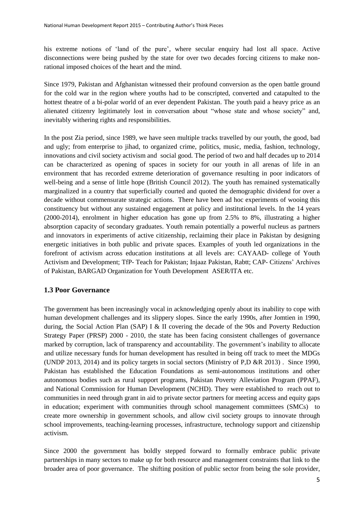his extreme notions of 'land of the pure', where secular enquiry had lost all space. Active disconnections were being pushed by the state for over two decades forcing citizens to make nonrational imposed choices of the heart and the mind.

Since 1979, Pakistan and Afghanistan witnessed their profound conversion as the open battle ground for the cold war in the region where youths had to be conscripted, converted and catapulted to the hottest theatre of a bi-polar world of an ever dependent Pakistan. The youth paid a heavy price as an alienated citizenry legitimately lost in conversation about "whose state and whose society" and, inevitably withering rights and responsibilities.

In the post Zia period, since 1989, we have seen multiple tracks travelled by our youth, the good, bad and ugly; from enterprise to jihad, to organized crime, politics, music, media, fashion, technology, innovations and civil society activism and social good. The period of two and half decades up to 2014 can be characterized as opening of spaces in society for our youth in all arenas of life in an environment that has recorded extreme deterioration of governance resulting in poor indicators of well-being and a sense of little hope (British Council 2012). The youth has remained systematically marginalized in a country that superficially courted and quoted the demographic dividend for over a decade without commensurate strategic actions. There have been ad hoc experiments of wooing this constituency but without any sustained engagement at policy and institutional levels. In the 14 years (2000-2014), enrolment in higher education has gone up from 2.5% to 8%, illustrating a higher absorption capacity of secondary graduates. Youth remain potentially a powerful nucleus as partners and innovators in experiments of active citizenship, reclaiming their place in Pakistan by designing energetic initiatives in both public and private spaces. Examples of youth led organizations in the forefront of activism across education institutions at all levels are: CAYAAD- college of Youth Activism and Development; TfP- Teach for Pakistan; Injaaz Pakistan, Rabtt; CAP- Citizens' Archives of Pakistan, BARGAD Organization for Youth Development ASER/ITA etc.

#### <span id="page-4-0"></span>**1.3 Poor Governance**

The government has been increasingly vocal in acknowledging openly about its inability to cope with human development challenges and its slippery slopes. Since the early 1990s, after Jomtien in 1990, during, the Social Action Plan (SAP) I & II covering the decade of the 90s and Poverty Reduction Strategy Paper (PRSP) 2000 - 2010, the state has been facing consistent challenges of governance marked by corruption, lack of transparency and accountability. The government's inability to allocate and utilize necessary funds for human development has resulted in being off track to meet the MDGs (UNDP 2013, 2014) and its policy targets in social sectors (Ministry of P,D &R 2013) . Since 1990, Pakistan has established the Education Foundations as semi-autonomous institutions and other autonomous bodies such as rural support programs, Pakistan Poverty Alleviation Program (PPAF), and National Commission for Human Development (NCHD). They were established to reach out to communities in need through grant in aid to private sector partners for meeting access and equity gaps in education; experiment with communities through school management committees (SMCs) to create more ownership in government schools, and allow civil society groups to innovate through school improvements, teaching-learning processes, infrastructure, technology support and citizenship activism.

Since 2000 the government has boldly stepped forward to formally embrace public private partnerships in many sectors to make up for both resource and management constraints that link to the broader area of poor governance. The shifting position of public sector from being the sole provider,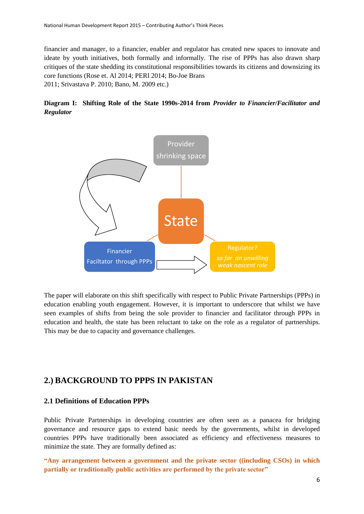financier and manager, to a financier, enabler and regulator has created new spaces to innovate and ideate by youth initiatives, both formally and informally. The rise of PPPs has also drawn sharp critiques of the state shedding its constitutional responsibilities towards its citizens and downsizing its core functions (Rose et. Al 2014; PERI 2014; Bo-Joe Brans 2011; Srivastava P. 2010; Bano, M. 2009 etc.)

### **Diagram I: Shifting Role of the State 1990s-2014 from** *Provider to Financier/Facilitator and Regulator*



The paper will elaborate on this shift specifically with respect to Public Private Partnerships (PPPs) in education enabling youth engagement. However, it is important to underscore that whilst we have seen examples of shifts from being the sole provider to financier and facilitator through PPPs in education and health, the state has been reluctant to take on the role as a regulator of partnerships. This may be due to capacity and governance challenges.

### <span id="page-5-0"></span>**2.) BACKGROUND TO PPPS IN PAKISTAN**

### <span id="page-5-1"></span>**2.1 Definitions of Education PPPs**

Public Private Partnerships in developing countries are often seen as a panacea for bridging governance and resource gaps to extend basic needs by the governments, whilst in developed countries PPPs have traditionally been associated as efficiency and effectiveness measures to minimize the state. They are formally defined as:

**"Any arrangement between a government and the private sector ((including CSOs) in which partially or traditionally public activities are performed by the private sector"**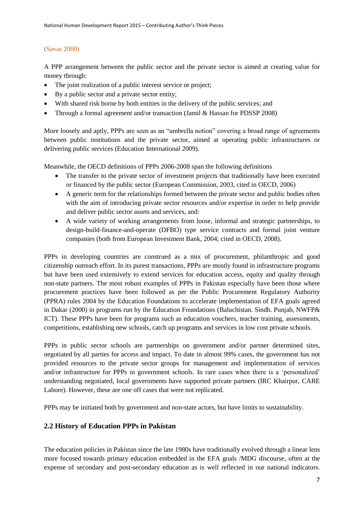### (Savas 2000)

A PPP arrangement between the public sector and the private sector is aimed at creating value for money through:

- The joint realization of a public interest service or project:
- By a public sector and a private sector entity;
- With shared risk borne by both entities in the delivery of the public services; and
- Through a formal agreement and/or transaction (Jamil & Hassan for PDSSP 2008)

More loosely and aptly, PPPs are seen as an "umbrella notion" covering a broad range of agreements between public institutions and the private sector, aimed at operating public infrastructures or delivering public services (Education International 2009).

Meanwhile, the OECD definitions of PPPs 2006-2008 span the following definitions

- The transfer to the private sector of investment projects that traditionally have been executed or financed by the public sector (European Commission, 2003, cited in OECD, 2006)
- A generic term for the relationships formed between the private sector and public bodies often with the aim of introducing private sector resources and/or expertise in order to help provide and deliver public sector assets and services, and:
- A wide variety of working arrangements from loose, informal and strategic partnerships, to design-build-finance-and-operate (DFBO) type service contracts and formal joint venture companies (both from European Investment Bank, 2004; cited in OECD, 2008).

PPPs in developing countries are construed as a mix of procurement, philanthropic and good citizenship outreach effort. In its purest transactions, PPPs are mostly found in infrastructure programs but have been used extensively to extend services for education access, equity and quality through non-state partners. The most robust examples of PPPs in Pakistan especially have been those where procurement practices have been followed as per the Public Procurement Regulatory Authority (PPRA) rules 2004 by the Education Foundations to accelerate implementation of EFA goals agreed in Dakar (2000) in programs run by the Education Foundations (Baluchistan. Sindh. Punjab, NWFP& ICT). These PPPs have been for programs such as education vouchers, teacher training, assessments, competitions, establishing new schools, catch up programs and services in low cost private schools.

PPPs in public sector schools are partnerships on government and/or partner determined sites, negotiated by all parties for access and impact. To date in almost 99% cases, the government has not provided resources to the private sector groups for management and implementation of services and/or infrastructure for PPPs in government schools. In rare cases when there is a 'personalized' understanding negotiated, local governments have supported private partners (IRC Khairpur, CARE Lahore). However, these are one off cases that were not replicated.

PPPs may be initiated both by government and non-state actors, but have limits to sustainability.

### <span id="page-6-0"></span>**2.2 History of Education PPPs in Pakistan**

The education policies in Pakistan since the late 1980s have traditionally evolved through a linear lens more focused towards primary education embedded in the EFA goals /MDG discourse, often at the expense of secondary and post-secondary education as is well reflected in our national indicators.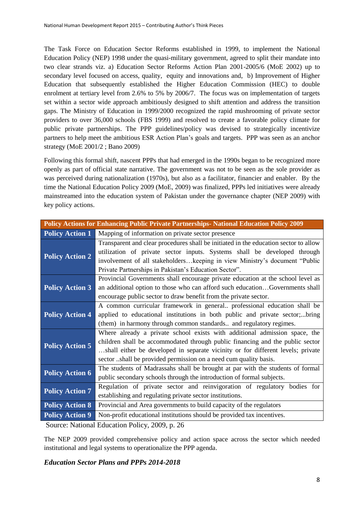The Task Force on Education Sector Reforms established in 1999, to implement the National Education Policy (NEP) 1998 under the quasi-military government, agreed to split their mandate into two clear strands viz. a) Education Sector Reforms Action Plan 2001-2005/6 (MoE 2002) up to secondary level focused on access, quality, equity and innovations and, b) Improvement of Higher Education that subsequently established the Higher Education Commission (HEC) to double enrolment at tertiary level from 2.6% to 5% by 2006/7. The focus was on implementation of targets set within a sector wide approach ambitiously designed to shift attention and address the transition gaps. The Ministry of Education in 1999/2000 recognized the rapid mushrooming of private sector providers to over 36,000 schools (FBS 1999) and resolved to create a favorable policy climate for public private partnerships. The PPP guidelines/policy was devised to strategically incentivize partners to help meet the ambitious ESR Action Plan's goals and targets. PPP was seen as an anchor strategy (MoE 2001/2 ; Bano 2009)

Following this formal shift, nascent PPPs that had emerged in the 1990s began to be recognized more openly as part of official state narrative. The government was not to be seen as the sole provider as was perceived during nationalization (1970s), but also as a facilitator, financier and enabler. By the time the National Education Policy 2009 (MoE, 2009) was finalized, PPPs led initiatives were already mainstreamed into the education system of Pakistan under the governance chapter (NEP 2009) with key policy actions.

| <b>Policy Actions for Enhancing Public Private Partnerships- National Education Policy 2009</b> |                                                                                                                                                                                                                                                                                                                    |  |  |  |  |
|-------------------------------------------------------------------------------------------------|--------------------------------------------------------------------------------------------------------------------------------------------------------------------------------------------------------------------------------------------------------------------------------------------------------------------|--|--|--|--|
| <b>Policy Action 1</b>                                                                          | Mapping of information on private sector presence                                                                                                                                                                                                                                                                  |  |  |  |  |
| <b>Policy Action 2</b>                                                                          | Transparent and clear procedures shall be initiated in the education sector to allow<br>utilization of private sector inputs. Systems shall be developed through<br>involvement of all stakeholderskeeping in view Ministry's document "Public<br>Private Partnerships in Pakistan's Education Sector".            |  |  |  |  |
| <b>Policy Action 3</b>                                                                          | Provincial Governments shall encourage private education at the school level as<br>an additional option to those who can afford such educationGovernments shall<br>encourage public sector to draw benefit from the private sector.                                                                                |  |  |  |  |
| <b>Policy Action 4</b>                                                                          | A common curricular framework in general professional education shall be<br>applied to educational institutions in both public and private sector;bring<br>(them) in harmony through common standards and regulatory regimes.                                                                                      |  |  |  |  |
| <b>Policy Action 5</b>                                                                          | Where already a private school exists with additional admission space, the<br>children shall be accommodated through public financing and the public sector<br>shall either be developed in separate vicinity or for different levels; private<br>sector shall be provided permission on a need cum quality basis. |  |  |  |  |
| <b>Policy Action 6</b>                                                                          | The students of Madrassahs shall be brought at par with the students of formal<br>public secondary schools through the introduction of formal subjects.                                                                                                                                                            |  |  |  |  |
| <b>Policy Action 7</b>                                                                          | Regulation of private sector and reinvigoration of regulatory bodies for<br>establishing and regulating private sector institutions.                                                                                                                                                                               |  |  |  |  |
| <b>Policy Action 8</b>                                                                          | Provincial and Area governments to build capacity of the regulators                                                                                                                                                                                                                                                |  |  |  |  |
| <b>Policy Action 9</b>                                                                          | Non-profit educational institutions should be provided tax incentives.                                                                                                                                                                                                                                             |  |  |  |  |
|                                                                                                 |                                                                                                                                                                                                                                                                                                                    |  |  |  |  |

Source: National Education Policy, 2009, p. 26

The NEP 2009 provided comprehensive policy and action space across the sector which needed institutional and legal systems to operationalize the PPP agenda.

### *Education Sector Plans and PPPs 2014-2018*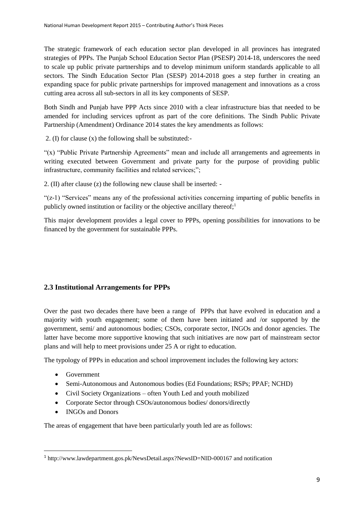The strategic framework of each education sector plan developed in all provinces has integrated strategies of PPPs. The Punjab School Education Sector Plan (PSESP) 2014-18, underscores the need to scale up public private partnerships and to develop minimum uniform standards applicable to all sectors. The Sindh Education Sector Plan (SESP) 2014-2018 goes a step further in creating an expanding space for public private partnerships for improved management and innovations as a cross cutting area across all sub-sectors in all its key components of SESP.

Both Sindh and Punjab have PPP Acts since 2010 with a clear infrastructure bias that needed to be amended for including services upfront as part of the core definitions. The Sindh Public Private Partnership (Amendment) Ordinance 2014 states the key amendments as follows:

2. (I) for clause (x) the following shall be substituted:-

"(x) "Public Private Partnership Agreements" mean and include all arrangements and agreements in writing executed between Government and private party for the purpose of providing public infrastructure, community facilities and related services;";

2. (II) after clause (z) the following new clause shall be inserted: -

"(z-1) "Services" means any of the professional activities concerning imparting of public benefits in publicly owned institution or facility or the objective ancillary thereof; $<sup>1</sup>$ </sup>

This major development provides a legal cover to PPPs, opening possibilities for innovations to be financed by the government for sustainable PPPs.

### <span id="page-8-0"></span>**2.3 Institutional Arrangements for PPPs**

Over the past two decades there have been a range of PPPs that have evolved in education and a majority with youth engagement; some of them have been initiated and /or supported by the government, semi/ and autonomous bodies; CSOs, corporate sector, INGOs and donor agencies. The latter have become more supportive knowing that such initiatives are now part of mainstream sector plans and will help to meet provisions under 25 A or right to education.

The typology of PPPs in education and school improvement includes the following key actors:

• Government

**.** 

- Semi-Autonomous and Autonomous bodies (Ed Foundations; RSPs; PPAF; NCHD)
- Civil Society Organizations often Youth Led and youth mobilized
- Corporate Sector through CSOs/autonomous bodies/ donors/directly
- INGOs and Donors

The areas of engagement that have been particularly youth led are as follows:

<sup>&</sup>lt;sup>1</sup> http://www.lawdepartment.gos.pk/NewsDetail.aspx?NewsID=NID-000167 and notification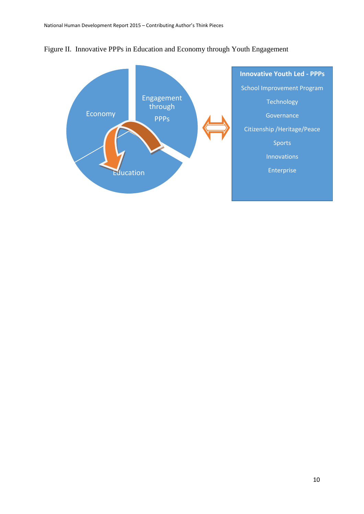

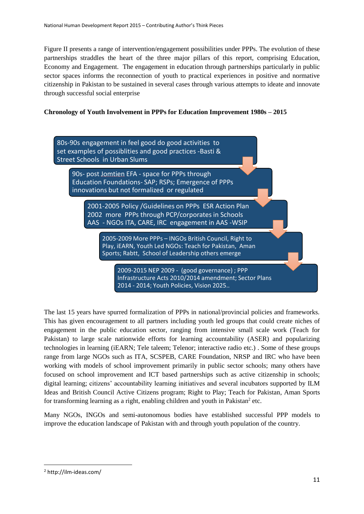Figure II presents a range of intervention/engagement possibilities under PPPs. The evolution of these partnerships straddles the heart of the three major pillars of this report, comprising Education, Economy and Engagement. The engagement in education through partnerships particularly in public sector spaces informs the reconnection of youth to practical experiences in positive and normative citizenship in Pakistan to be sustained in several cases through various attempts to ideate and innovate through successful social enterprise

#### **Chronology of Youth Involvement in PPPs for Education Improvement 1980s – 2015**



The last 15 years have spurred formalization of PPPs in national/provincial policies and frameworks. This has given encouragement to all partners including youth led groups that could create niches of engagement in the public education sector, ranging from intensive small scale work (Teach for Pakistan) to large scale nationwide efforts for learning accountability (ASER) and popularizing technologies in learning (iEARN; Tele taleem; Telenor; interactive radio etc.) . Some of these groups range from large NGOs such as ITA, SCSPEB, CARE Foundation, NRSP and IRC who have been working with models of school improvement primarily in public sector schools; many others have focused on school improvement and ICT based partnerships such as active citizenship in schools; digital learning; citizens' accountability learning initiatives and several incubators supported by ILM Ideas and British Council Active Citizens program; Right to Play; Teach for Pakistan, Aman Sports for transforming learning as a right, enabling children and youth in Pakistan<sup>2</sup> etc.

Many NGOs, INGOs and semi-autonomous bodies have established successful PPP models to improve the education landscape of Pakistan with and through youth population of the country.

1

<sup>2</sup> http://ilm-ideas.com/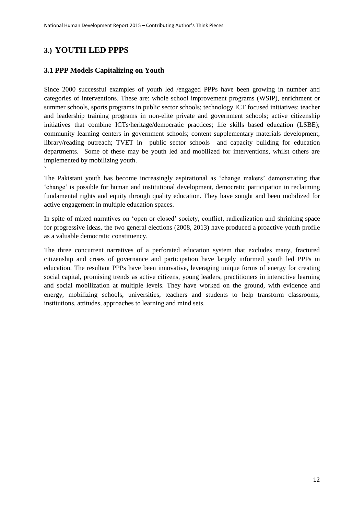# <span id="page-11-0"></span>**3.) YOUTH LED PPPS**

`

### <span id="page-11-1"></span>**3.1 PPP Models Capitalizing on Youth**

Since 2000 successful examples of youth led /engaged PPPs have been growing in number and categories of interventions. These are: whole school improvement programs (WSIP), enrichment or summer schools, sports programs in public sector schools; technology ICT focused initiatives; teacher and leadership training programs in non-elite private and government schools; active citizenship initiatives that combine ICTs/heritage/democratic practices; life skills based education (LSBE); community learning centers in government schools; content supplementary materials development, library/reading outreach; TVET in public sector schools and capacity building for education departments. Some of these may be youth led and mobilized for interventions, whilst others are implemented by mobilizing youth.

The Pakistani youth has become increasingly aspirational as 'change makers' demonstrating that 'change' is possible for human and institutional development, democratic participation in reclaiming fundamental rights and equity through quality education. They have sought and been mobilized for active engagement in multiple education spaces.

In spite of mixed narratives on 'open or closed' society, conflict, radicalization and shrinking space for progressive ideas, the two general elections (2008, 2013) have produced a proactive youth profile as a valuable democratic constituency.

The three concurrent narratives of a perforated education system that excludes many, fractured citizenship and crises of governance and participation have largely informed youth led PPPs in education. The resultant PPPs have been innovative, leveraging unique forms of energy for creating social capital, promising trends as active citizens, young leaders, practitioners in interactive learning and social mobilization at multiple levels. They have worked on the ground, with evidence and energy, mobilizing schools, universities, teachers and students to help transform classrooms, institutions, attitudes, approaches to learning and mind sets.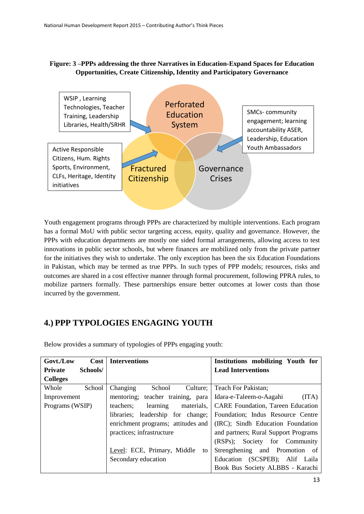### **Figure: 3 –PPPs addressing the three Narratives in Education-Expand Spaces for Education Opportunities, Create Citizenship, Identity and Participatory Governance**



Youth engagement programs through PPPs are characterized by multiple interventions. Each program has a formal MoU with public sector targeting access, equity, quality and governance. However, the PPPs with education departments are mostly one sided formal arrangements, allowing access to test innovations in public sector schools, but where finances are mobilized only from the private partner for the initiatives they wish to undertake. The only exception has been the six Education Foundations in Pakistan, which may be termed as true PPPs. In such types of PPP models; resources, risks and outcomes are shared in a cost effective manner through formal procurement, following PPRA rules, to mobilize partners formally. These partnerships ensure better outcomes at lower costs than those incurred by the government.

## <span id="page-12-0"></span>**4.) PPP TYPOLOGIES ENGAGING YOUTH**

| Govt./Low       | Cost     | <b>Interventions</b>                | Institutions mobilizing Youth for        |
|-----------------|----------|-------------------------------------|------------------------------------------|
| <b>Private</b>  | Schools/ |                                     | <b>Lead Interventions</b>                |
| <b>Colleges</b> |          |                                     |                                          |
| Whole           | School   | School<br>Culture;<br>Changing      | Teach For Pakistan;                      |
| Improvement     |          | mentoring; teacher training, para   | (ITA)<br>Idara-e-Taleem-o-Aagahi         |
| Programs (WSIP) |          | learning<br>materials.<br>teachers: | <b>CARE Foundation, Tareen Education</b> |
|                 |          | libraries; leadership for change;   | Foundation; Indus Resource Centre        |
|                 |          | enrichment programs; attitudes and  | (IRC); Sindh Education Foundation        |
|                 |          | practices; infrastructure           | and partners; Rural Support Programs     |
|                 |          |                                     | Society for Community<br>$(RSPs)$ :      |
|                 |          | Level: ECE, Primary, Middle<br>to   | Strengthening<br>and Promotion of        |
|                 |          | Secondary education                 | (SCSPEB); Alif Laila<br>Education        |
|                 |          |                                     | Book Bus Society ALBBS - Karachi         |
|                 |          |                                     | $\sim$                                   |

<span id="page-12-1"></span>Below provides a summary of typologies of PPPs engaging youth: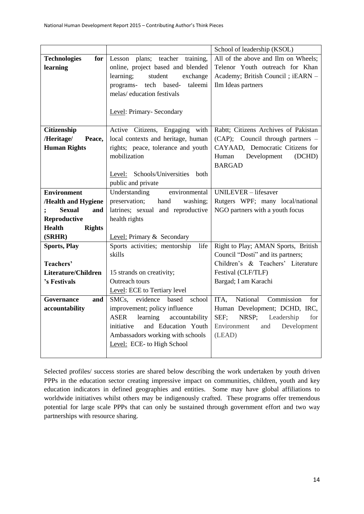|                                |                                           | School of leadership (KSOL)           |
|--------------------------------|-------------------------------------------|---------------------------------------|
| <b>Technologies</b><br>for     | Lesson plans; teacher training,           | All of the above and Ilm on Wheels;   |
| learning                       | online, project based and blended         | Telenor Youth outreach for Khan       |
|                                | learning;<br>student<br>exchange          | Academy; British Council ; iEARN -    |
|                                | programs-<br>tech based-<br>taleemi       | Ilm Ideas partners                    |
|                                | melas/education festivals                 |                                       |
|                                |                                           |                                       |
|                                | Level: Primary- Secondary                 |                                       |
|                                |                                           |                                       |
| Citizenship                    | Active Citizens, Engaging with            | Rabtt; Citizens Archives of Pakistan  |
| /Heritage/<br>Peace,           | local contexts and heritage, human        | (CAP); Council through partners -     |
| <b>Human Rights</b>            | rights; peace, tolerance and youth        | CAYAAD, Democratic Citizens for       |
|                                | mobilization                              | Development<br>Human<br>(DCHD)        |
|                                |                                           | <b>BARGAD</b>                         |
|                                | Level: Schools/Universities<br>both       |                                       |
|                                | public and private                        |                                       |
| <b>Environment</b>             | Understanding<br>environmental            | UNILEVER - lifesaver                  |
| /Health and Hygiene            | preservation;<br>hand<br>washing;         | Rutgers WPF; many local/national      |
| <b>Sexual</b><br>and           | latrines; sexual and reproductive         | NGO partners with a youth focus       |
| Reproductive                   | health rights                             |                                       |
| <b>Rights</b><br><b>Health</b> |                                           |                                       |
| (SRHR)                         | Level: Primary & Secondary                |                                       |
| <b>Sports, Play</b>            | Sports activities; mentorship<br>life     | Right to Play; AMAN Sports, British   |
|                                | skills                                    | Council "Dosti" and its partners;     |
| Teachers'                      |                                           | Children's & Teachers' Literature     |
| Literature/Children            | 15 strands on creativity;                 | Festival (CLF/TLF)                    |
| 's Festivals                   | Outreach tours                            | Bargad; I am Karachi                  |
|                                | Level: ECE to Tertiary level              |                                       |
| Governance<br>and              | based<br>SMCs, evidence<br>school         | National<br>ITA,<br>Commission<br>for |
| accountability                 | improvement; policy influence             | Human Development; DCHD, IRC,         |
|                                | learning<br><b>ASER</b><br>accountability | SEF;<br>NRSP;<br>Leadership<br>for    |
|                                | and Education Youth<br>initiative         | Environment<br>and<br>Development     |
|                                | Ambassadors working with schools          | (LEAD)                                |
|                                | Level: ECE- to High School                |                                       |
|                                |                                           |                                       |

Selected profiles/ success stories are shared below describing the work undertaken by youth driven PPPs in the education sector creating impressive impact on communities, children, youth and key education indicators in defined geographies and entities. Some may have global affiliations to worldwide initiatives whilst others may be indigenously crafted. These programs offer tremendous potential for large scale PPPs that can only be sustained through government effort and two way partnerships with resource sharing.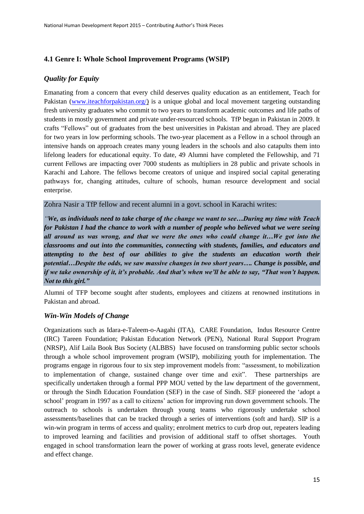### <span id="page-14-0"></span>**4.1 Genre I: Whole School Improvement Programs (WSIP)**

### *Quality for Equity*

Emanating from a concern that every child deserves quality education as an entitlement, Teach for Pakistan (www.iteachforpakistan.org/) is a unique global and local movement targeting outstanding fresh university graduates who commit to two years to transform academic outcomes and life paths of students in mostly government and private under-resourced schools. TfP began in Pakistan in 2009. It crafts "Fellows" out of graduates from the best universities in Pakistan and abroad. They are placed for two years in low performing schools. The two-year placement as a Fellow in a school through an intensive hands on approach creates many young leaders in the schools and also catapults them into lifelong leaders for educational equity. To date, 49 Alumni have completed the Fellowship, and 71 current Fellows are impacting over 7000 students as multipliers in 28 public and private schools in Karachi and Lahore. The fellows become creators of unique and inspired social capital generating pathways for, changing attitudes, culture of schools, human resource development and social enterprise.

Zohra Nasir a TfP fellow and recent alumni in a govt. school in Karachi writes:

*"We, as individuals need to take charge of the change we want to see…During my time with Teach for Pakistan I had the chance to work with a number of people who believed what we were seeing all around us was wrong, and that we were the ones who could change it…We got into the classrooms and out into the communities, connecting with students, families, and educators and attempting to the best of our abilities to give the students an education worth their potential…Despite the odds, we saw massive changes in two short years…. Change is possible, and if we take ownership of it, it's probable. And that's when we'll be able to say, "That won't happen. Not to this girl."*

Alumni of TFP become sought after students, employees and citizens at renowned institutions in Pakistan and abroad.

### *Win-Win Models of Change*

Organizations such as Idara-e-Taleem-o-Aagahi (ITA), CARE Foundation, Indus Resource Centre (IRC) Tareen Foundation; Pakistan Education Network (PEN), National Rural Support Program (NRSP), Alif Laila Book Bus Society (ALBBS) have focused on transforming public sector schools through a whole school improvement program (WSIP), mobilizing youth for implementation. The programs engage in rigorous four to six step improvement models from: "assessment, to mobilization to implementation of change, sustained change over time and exit". These partnerships are specifically undertaken through a formal PPP MOU vetted by the law department of the government, or through the Sindh Education Foundation (SEF) in the case of Sindh. SEF pioneered the 'adopt a school' program in 1997 as a call to citizens' action for improving run down government schools. The outreach to schools is undertaken through young teams who rigorously undertake school assessments/baselines that can be tracked through a series of interventions (soft and hard). SIP is a win-win program in terms of access and quality; enrolment metrics to curb drop out, repeaters leading to improved learning and facilities and provision of additional staff to offset shortages. Youth engaged in school transformation learn the power of working at grass roots level, generate evidence and effect change.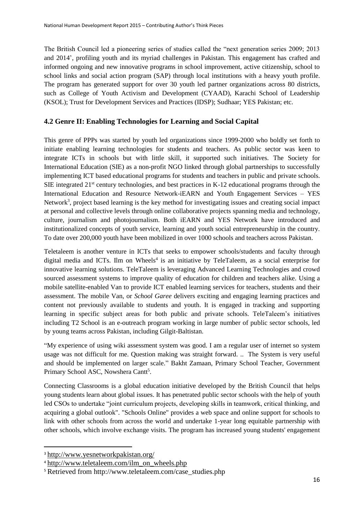The British Council led a pioneering series of studies called the "next generation series 2009; 2013 and 2014', profiling youth and its myriad challenges in Pakistan. This engagement has crafted and informed ongoing and new innovative programs in school improvement, active citizenship, school to school links and social action program (SAP) through local institutions with a heavy youth profile. The program has generated support for over 30 youth led partner organizations across 80 districts, such as College of Youth Activism and Development (CYAAD), Karachi School of Leadership (KSOL); Trust for Development Services and Practices (IDSP); Sudhaar; YES Pakistan; etc.

### <span id="page-15-0"></span>**4.2 Genre II: Enabling Technologies for Learning and Social Capital**

This genre of PPPs was started by youth led organizations since 1999-2000 who boldly set forth to initiate enabling learning technologies for students and teachers. As public sector was keen to integrate ICTs in schools but with little skill, it supported such initiatives. The Society for International Education (SIE) as a non-profit NGO linked through global partnerships to successfully implementing ICT based educational programs for students and teachers in public and private schools. SIE integrated 21<sup>st</sup> century technologies, and best practices in K-12 educational programs through the International Education and Resource Network-iEARN and Youth Engagement Services – YES Network<sup>3</sup>, project based learning is the key method for investigating issues and creating social impact at personal and collective levels through online collaborative projects spanning media and technology, culture, journalism and photojournalism. Both iEARN and YES Network have introduced and institutionalized concepts of youth service, learning and youth social entrepreneurship in the country. To date over 200,000 youth have been mobilized in over 1000 schools and teachers across Pakistan.

Teletaleem is another venture in ICTs that seeks to empower schools/students and faculty through digital media and ICTs. Ilm on Wheels<sup>4</sup> is an initiative by TeleTaleem, as a social enterprise for innovative learning solutions. TeleTaleem is leveraging Advanced Learning Technologies and crowd sourced assessment systems to improve quality of education for children and teachers alike. Using a mobile satellite-enabled Van to provide ICT enabled learning services for teachers, students and their assessment. The mobile Van, or *School Garee* delivers exciting and engaging learning practices and content not previously available to students and youth. It is engaged in tracking and supporting learning in specific subject areas for both public and private schools. TeleTaleem's initiatives including T2 School is an e-outreach program working in large number of public sector schools, led by young teams across Pakistan, including Gilgit-Baltistan.

"My experience of using wiki assessment system was good. I am a regular user of internet so system usage was not difficult for me. Question making was straight forward. .. The System is very useful and should be implemented on larger scale." Bakht Zamaan, Primary School Teacher, Government Primary School ASC, Nowshera Cantt<sup>5</sup>.

Connecting Classrooms is a global education initiative developed by the British Council that helps young students learn about global issues. It has penetrated public sector schools with the help of youth led CSOs to undertake "joint curriculum projects, developing skills in teamwork, critical thinking, and acquiring a global outlook". "Schools Online" provides a web space and online support for schools to link with other schools from across the world and undertake 1-year long equitable partnership with other schools, which involve exchange visits. The program has increased young students' engagement

**.** 

<sup>3</sup> <http://www.yesnetworkpakistan.org/>

<sup>4</sup> [http://www.teletaleem.com/ilm\\_on\\_wheels.php](http://www.teletaleem.com/ilm_on_wheels.php)

<sup>5</sup> Retrieved from http://www.teletaleem.com/case\_studies.php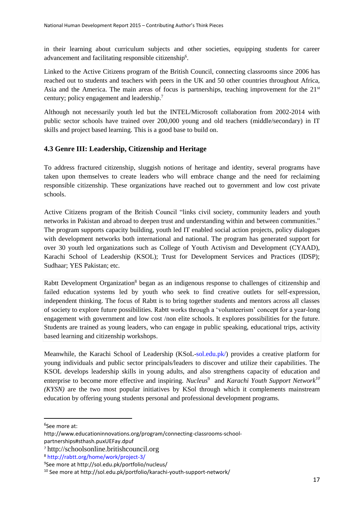in their learning about curriculum subjects and other societies, equipping students for career advancement and facilitating responsible citizenship<sup>6</sup>.

Linked to the Active Citizens program of the British Council, connecting classrooms since 2006 has reached out to students and teachers with peers in the UK and 50 other countries throughout Africa, Asia and the America. The main areas of focus is partnerships, teaching improvement for the  $21<sup>st</sup>$ century; policy engagement and leadership. 7

Although not necessarily youth led but the INTEL/Microsoft collaboration from 2002-2014 with public sector schools have trained over 200,000 young and old teachers (middle/secondary) in IT skills and project based learning. This is a good base to build on.

### <span id="page-16-0"></span>**4.3 Genre III: Leadership, Citizenship and Heritage**

To address fractured citizenship, sluggish notions of heritage and identity, several programs have taken upon themselves to create leaders who will embrace change and the need for reclaiming responsible citizenship. These organizations have reached out to government and low cost private schools.

Active Citizens program of the British Council "links civil society, community leaders and youth networks in Pakistan and abroad to deepen trust and understanding within and between communities." The program supports capacity building, youth led IT enabled social action projects, policy dialogues with development networks both international and national. The program has generated support for over 30 youth led organizations such as College of Youth Activism and Development (CYAAD), Karachi School of Leadership (KSOL); Trust for Development Services and Practices (IDSP); Sudhaar; YES Pakistan; etc.

Rabtt Development Organization<sup>8</sup> began as an indigenous response to challenges of citizenship and failed education systems led by youth who seek to find creative outlets for self-expression, independent thinking. The focus of Rabtt is to bring together students and mentors across all classes of society to explore future possibilities. Rabtt works through a 'volunteerism' concept for a year-long engagement with government and low cost /non elite schools. It explores possibilities for the future. Students are trained as young leaders, who can engage in public speaking, educational trips, activity based learning and citizenship workshops.

Meanwhile, the Karachi School of Leadership (KSoL-sol.edu.pk/) provides a creative platform for young individuals and public sector principals/leaders to discover and utilize their capabilities. The KSOL develops leadership skills in young adults, and also strengthens capacity of education and enterprise to become more effective and inspiring. *Nucleus*<sup>9</sup> and *Karachi Youth Support Network*<sup>10</sup> *(KYSN)* are the two most popular initiatives by KSol through which it complements mainstream education by offering young students personal and professional development programs.

**.** 

<sup>6</sup> See more at:

http://www.educationinnovations.org/program/connecting-classrooms-school-

partnerships#sthash.puxUEFay.dpuf

<sup>7</sup> [http://schoolsonline.britishcouncil.org](http://schoolsonline.britishcouncil.org/)

<sup>8</sup> http://rabtt.org/home/work/project-3/

<sup>9</sup> See more at http://sol.edu.pk/portfolio/nucleus/

<sup>10</sup> See more at<http://sol.edu.pk/portfolio/karachi-youth-support-network/>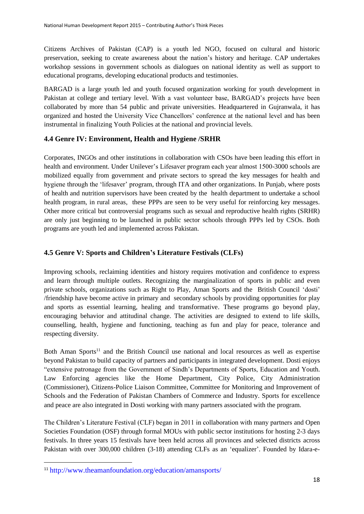Citizens Archives of Pakistan (CAP) is a youth led NGO, focused on cultural and historic preservation, seeking to create awareness about the nation's history and heritage. CAP undertakes workshop sessions in government schools as dialogues on national identity as well as support to educational programs, developing educational products and testimonies.

BARGAD is a large youth led and youth focused organization working for youth development in Pakistan at college and tertiary level. With a vast volunteer base, BARGAD's projects have been collaborated by more than 54 public and private universities. Headquartered in Gujranwala, it has organized and hosted the University Vice Chancellors' conference at the national level and has been instrumental in finalizing Youth Policies at the national and provincial levels.

### <span id="page-17-0"></span>**4.4 Genre IV: Environment, Health and Hygiene /SRHR**

Corporates, INGOs and other institutions in collaboration with CSOs have been leading this effort in health and environment. Under Unilever's Lifesaver program each year almost 1500-3000 schools are mobilized equally from government and private sectors to spread the key messages for health and hygiene through the 'lifesaver' program, through ITA and other organizations. In Punjab, where posts of health and nutrition supervisors have been created by the health department to undertake a school health program, in rural areas, these PPPs are seen to be very useful for reinforcing key messages. Other more critical but controversial programs such as sexual and reproductive health rights (SRHR) are only just beginning to be launched in public sector schools through PPPs led by CSOs. Both programs are youth led and implemented across Pakistan.

#### <span id="page-17-1"></span>**4.5 Genre V: Sports and Children's Literature Festivals (CLFs)**

Improving schools, reclaiming identities and history requires motivation and confidence to express and learn through multiple outlets. Recognizing the marginalization of sports in public and even private schools, organizations such as Right to Play, Aman Sports and the British Council 'dosti' /friendship have become active in primary and secondary schools by providing opportunities for play and sports as essential learning, healing and transformative. These programs go beyond play, encouraging behavior and attitudinal change. The activities are designed to extend to life skills, counselling, health, hygiene and functioning, teaching as fun and play for peace, tolerance and respecting diversity.

Both Aman Sports<sup>11</sup> and the British Council use national and local resources as well as expertise beyond Pakistan to build capacity of partners and participants in integrated development. Dosti enjoys "extensive patronage from the Government of Sindh's Departments of Sports, Education and Youth. Law Enforcing agencies like the Home Department, City Police, City Administration (Commissioner), Citizens-Police Liaison Committee, Committee for Monitoring and Improvement of Schools and the Federation of Pakistan Chambers of Commerce and Industry. Sports for excellence and peace are also integrated in Dosti working with many partners associated with the program.

The Children's Literature Festival (CLF) began in 2011 in collaboration with many partners and Open Societies Foundation (OSF) through formal MOUs with public sector institutions for hosting 2-3 days festivals. In three years 15 festivals have been held across all provinces and selected districts across Pakistan with over 300,000 children (3-18) attending CLFs as an 'equalizer'. Founded by Idara-e-

 $\overline{\phantom{a}}$ 

<sup>11</sup> <http://www.theamanfoundation.org/education/amansports/>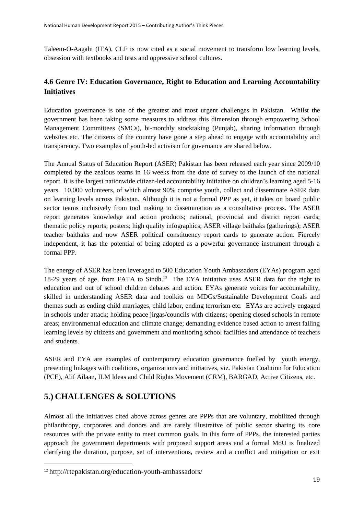Taleem-O-Aagahi (ITA), CLF is now cited as a social movement to transform low learning levels, obsession with textbooks and tests and oppressive school cultures.

### <span id="page-18-0"></span>**4.6 Genre IV: Education Governance, Right to Education and Learning Accountability Initiatives**

Education governance is one of the greatest and most urgent challenges in Pakistan. Whilst the government has been taking some measures to address this dimension through empowering School Management Committees (SMCs), bi-monthly stocktaking (Punjab), sharing information through websites etc. The citizens of the country have gone a step ahead to engage with accountability and transparency. Two examples of youth-led activism for governance are shared below.

The Annual Status of Education Report (ASER) Pakistan has been released each year since 2009/10 completed by the zealous teams in 16 weeks from the date of survey to the launch of the national report. It is the largest nationwide citizen-led accountability initiative on children's learning aged 5-16 years. 10,000 volunteers, of which almost 90% comprise youth, collect and disseminate ASER data on learning levels across Pakistan. Although it is not a formal PPP as yet, it takes on board public sector teams inclusively from tool making to dissemination as a consultative process. The ASER report generates knowledge and action products; national, provincial and district report cards; thematic policy reports; posters; high quality infographics; ASER village baithaks (gatherings); ASER teacher baithaks and now ASER political constituency report cards to generate action. Fiercely independent, it has the potential of being adopted as a powerful governance instrument through a formal PPP.

The energy of ASER has been leveraged to 500 Education Youth Ambassadors (EYAs) program aged 18-29 years of age, from FATA to Sindh.<sup>12</sup> The EYA initiative uses ASER data for the right to education and out of school children debates and action. EYAs generate voices for accountability, skilled in understanding ASER data and toolkits on MDGs/Sustainable Development Goals and themes such as ending child marriages, child labor, ending terrorism etc. EYAs are actively engaged in schools under attack; holding peace jirgas/councils with citizens; opening closed schools in remote areas; environmental education and climate change; demanding evidence based action to arrest falling learning levels by citizens and government and monitoring school facilities and attendance of teachers and students.

ASER and EYA are examples of contemporary education governance fuelled by youth energy, presenting linkages with coalitions, organizations and initiatives, viz. Pakistan Coalition for Education (PCE), Alif Ailaan, ILM Ideas and Child Rights Movement (CRM), BARGAD, Active Citizens, etc.

## <span id="page-18-1"></span>**5.) CHALLENGES & SOLUTIONS**

**.** 

Almost all the initiatives cited above across genres are PPPs that are voluntary, mobilized through philanthropy, corporates and donors and are rarely illustrative of public sector sharing its core resources with the private entity to meet common goals. In this form of PPPs, the interested parties approach the government departments with proposed support areas and a formal MoU is finalized clarifying the duration, purpose, set of interventions, review and a conflict and mitigation or exit

<sup>12</sup> <http://rtepakistan.org/education-youth-ambassadors/>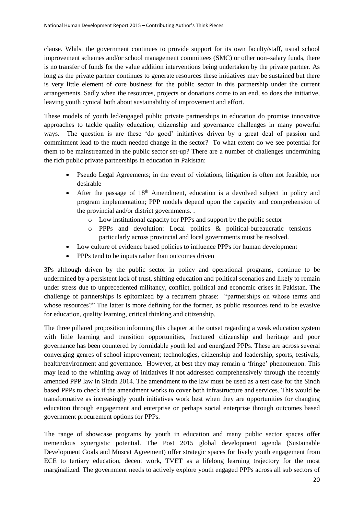clause. Whilst the government continues to provide support for its own faculty/staff, usual school improvement schemes and/or school management committees (SMC) or other non–salary funds, there is no transfer of funds for the value addition interventions being undertaken by the private partner. As long as the private partner continues to generate resources these initiatives may be sustained but there is very little element of core business for the public sector in this partnership under the current arrangements. Sadly when the resources, projects or donations come to an end, so does the initiative, leaving youth cynical both about sustainability of improvement and effort.

These models of youth led/engaged public private partnerships in education do promise innovative approaches to tackle quality education, citizenship and governance challenges in many powerful ways. The question is are these 'do good' initiatives driven by a great deal of passion and commitment lead to the much needed change in the sector? To what extent do we see potential for them to be mainstreamed in the public sector set-up? There are a number of challenges undermining the rich public private partnerships in education in Pakistan:

- Pseudo Legal Agreements; in the event of violations, litigation is often not feasible, nor desirable
- After the passage of 18<sup>th</sup> Amendment, education is a devolved subject in policy and program implementation; PPP models depend upon the capacity and comprehension of the provincial and/or district governments. .
	- o Low institutional capacity for PPPs and support by the public sector
	- o PPPs and devolution: Local politics & political-bureaucratic tensions particularly across provincial and local governments must be resolved.
- Low culture of evidence based policies to influence PPPs for human development
- PPPs tend to be inputs rather than outcomes driven

3Ps although driven by the public sector in policy and operational programs, continue to be undermined by a persistent lack of trust, shifting education and political scenarios and likely to remain under stress due to unprecedented militancy, conflict, political and economic crises in Pakistan. The challenge of partnerships is epitomized by a recurrent phrase: "partnerships on whose terms and whose resources?" The latter is more defining for the former, as public resources tend to be evasive for education, quality learning, critical thinking and citizenship.

The three pillared proposition informing this chapter at the outset regarding a weak education system with little learning and transition opportunities, fractured citizenship and heritage and poor governance has been countered by formidable youth led and energized PPPs. These are across several converging genres of school improvement; technologies, citizenship and leadership, sports, festivals, health/environment and governance. However, at best they may remain a 'fringe' phenomenon. This may lead to the whittling away of initiatives if not addressed comprehensively through the recently amended PPP law in Sindh 2014. The amendment to the law must be used as a test case for the Sindh based PPPs to check if the amendment works to cover both infrastructure and services. This would be transformative as increasingly youth initiatives work best when they are opportunities for changing education through engagement and enterprise or perhaps social enterprise through outcomes based government procurement options for PPPs.

The range of showcase programs by youth in education and many public sector spaces offer tremendous synergistic potential. The Post 2015 global development agenda (Sustainable Development Goals and Muscat Agreement) offer strategic spaces for lively youth engagement from ECE to tertiary education, decent work, TVET as a lifelong learning trajectory for the most marginalized. The government needs to actively explore youth engaged PPPs across all sub sectors of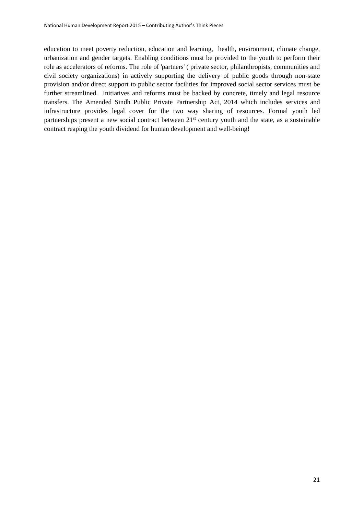education to meet poverty reduction, education and learning, health, environment, climate change, urbanization and gender targets. Enabling conditions must be provided to the youth to perform their role as accelerators of reforms. The role of 'partners' ( private sector, philanthropists, communities and civil society organizations) in actively supporting the delivery of public goods through non-state provision and/or direct support to public sector facilities for improved social sector services must be further streamlined. Initiatives and reforms must be backed by concrete, timely and legal resource transfers. The Amended Sindh Public Private Partnership Act, 2014 which includes services and infrastructure provides legal cover for the two way sharing of resources. Formal youth led partnerships present a new social contract between 21<sup>st</sup> century youth and the state, as a sustainable contract reaping the youth dividend for human development and well-being!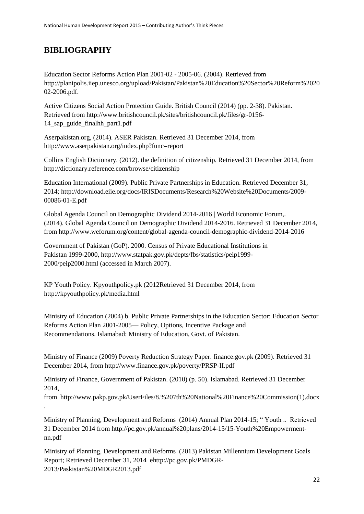# **BIBLIOGRAPHY**

Education Sector Reforms Action Plan 2001-02 - 2005-06. (2004). Retrieved from [http://planipolis.iiep.unesco.org/upload/Pakistan/Pakistan%20Education%20Sector%20Reform%2020](http://planipolis.iiep.unesco.org/upload/Pakistan/Pakistan%20Education%20Sector%20Reform%202002-2006.pdf) [02-2006.pdf.](http://planipolis.iiep.unesco.org/upload/Pakistan/Pakistan%20Education%20Sector%20Reform%202002-2006.pdf)

Active Citizens Social Action Protection Guide. British Council (2014) (pp. 2-38). Pakistan. Retrieved fro[m http://www.britishcouncil.pk/sites/britishcouncil.pk/files/gr-0156-](http://www.britishcouncil.pk/sites/britishcouncil.pk/files/gr-0156-14_sap_guide_finalhh_part1.pdf) [14\\_sap\\_guide\\_finalhh\\_part1.pdf](http://www.britishcouncil.pk/sites/britishcouncil.pk/files/gr-0156-14_sap_guide_finalhh_part1.pdf)

Aserpakistan.org, (2014). ASER Pakistan. Retrieved 31 December 2014, from <http://www.aserpakistan.org/index.php?func=report>

Collins English Dictionary. (2012). the definition of citizenship. Retrieved 31 December 2014, from <http://dictionary.reference.com/browse/citizenship>

Education International (2009). Public Private Partnerships in Education. Retrieved December 31, 2014; http://download.eiie.org/docs/IRISDocuments/Research%20Website%20Documents/2009- 00086-01-E.pdf

Global Agenda Council on Demographic Dividend 2014-2016 | World Economic Forum,. (2014). Global Agenda Council on Demographic Dividend 2014-2016. Retrieved 31 December 2014, from<http://www.weforum.org/content/global-agenda-council-demographic-dividend-2014-2016>

Government of Pakistan (GoP). 2000. Census of Private Educational Institutions in Pakistan 1999-2000, http://www.statpak.gov.pk/depts/fbs/statistics/peip1999- 2000/peip2000.html (accessed in March 2007).

KP Youth Policy. Kpyouthpolicy.pk (2012Retrieved 31 December 2014, from <http://kpyouthpolicy.pk/media.html>

Ministry of Education (2004) b. Public Private Partnerships in the Education Sector: Education Sector Reforms Action Plan 2001-2005— Policy, Options, Incentive Package and Recommendations. Islamabad: Ministry of Education, Govt. of Pakistan.

Ministry of Finance (2009) Poverty Reduction Strategy Paper. finance.gov.pk (2009). Retrieved 31 December 2014, fro[m http://www.finance.gov.pk/poverty/PRSP-II.pdf](http://www.finance.gov.pk/poverty/PRSP-II.pdf)

Ministry of Finance, Government of Pakistan. (2010) (p. 50). Islamabad. Retrieved 31 December 2014,

from [http://www.pakp.gov.pk/UserFiles/8.%207th%20National%20Finance%20Commission\(1\).docx](http://www.pakp.gov.pk/UserFiles/8.%207th%20National%20Finance%20Commission(1).docx) .

Ministry of Planning, Development and Reforms (2014) Annual Plan 2014-15; " Youth .. Retrieved 31 December 2014 from http://pc.gov.pk/annual%20plans/2014-15/15-Youth%20Empowermentnn.pdf

Ministry of Planning, Development and Reforms (2013) Pakistan Millennium Development Goals Report; Retrieved December 31, 2014 ehttp://pc.gov.pk/PMDGR-2013/Paskistan%20MDGR2013.pdf